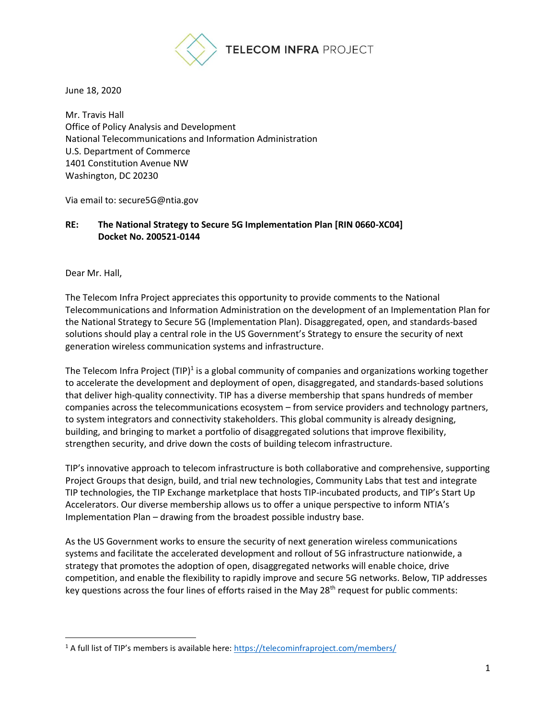

June 18, 2020

Mr. Travis Hall Office of Policy Analysis and Development National Telecommunications and Information Administration U.S. Department of Commerce 1401 Constitution Avenue NW Washington, DC 20230

Via email to: secure5G@ntia.gov

# **RE: The National Strategy to Secure 5G Implementation Plan [RIN 0660-XC04] Docket No. 200521-0144**

Dear Mr. Hall,

The Telecom Infra Project appreciates this opportunity to provide comments to the National Telecommunications and Information Administration on the development of an Implementation Plan for the National Strategy to Secure 5G (Implementation Plan). Disaggregated, open, and standards-based solutions should play a central role in the US Government's Strategy to ensure the security of next generation wireless communication systems and infrastructure.

The Telecom Infra Project (TIP)<sup>1</sup> is a global community of companies and organizations working together to accelerate the development and deployment of open, disaggregated, and standards-based solutions that deliver high-quality connectivity. TIP has a diverse membership that spans hundreds of member companies across the telecommunications ecosystem – from service providers and technology partners, to system integrators and connectivity stakeholders. This global community is already designing, building, and bringing to market a portfolio of disaggregated solutions that improve flexibility, strengthen security, and drive down the costs of building telecom infrastructure.

TIP's innovative approach to telecom infrastructure is both collaborative and comprehensive, supporting Project Groups that design, build, and trial new technologies, Community Labs that test and integrate TIP technologies, the TIP Exchange marketplace that hosts TIP-incubated products, and TIP's Start Up Accelerators. Our diverse membership allows us to offer a unique perspective to inform NTIA's Implementation Plan – drawing from the broadest possible industry base.

As the US Government works to ensure the security of next generation wireless communications systems and facilitate the accelerated development and rollout of 5G infrastructure nationwide, a strategy that promotes the adoption of open, disaggregated networks will enable choice, drive competition, and enable the flexibility to rapidly improve and secure 5G networks. Below, TIP addresses key questions across the four lines of efforts raised in the May 28<sup>th</sup> request for public comments:

<sup>&</sup>lt;sup>1</sup> A full list of TIP's members is available here:<https://telecominfraproject.com/members/>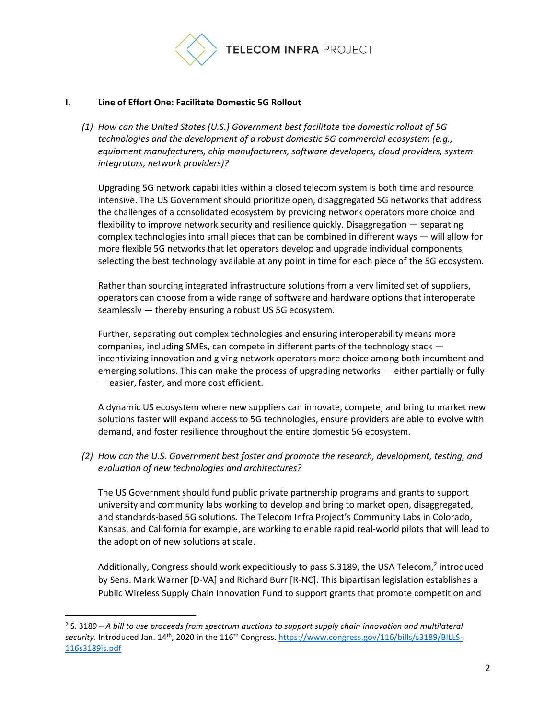

### **I. Line of Effort One: Facilitate Domestic 5G Rollout**

*(1) How can the United States (U.S.) Government best facilitate the domestic rollout of 5G technologies and the development of a robust domestic 5G commercial ecosystem (e.g., equipment manufacturers, chip manufacturers, software developers, cloud providers, system integrators, network providers)?*

Upgrading 5G network capabilities within a closed telecom system is both time and resource intensive. The US Government should prioritize open, disaggregated 5G networks that address the challenges of a consolidated ecosystem by providing network operators more choice and flexibility to improve network security and resilience quickly. Disaggregation — separating complex technologies into small pieces that can be combined in different ways — will allow for more flexible 5G networks that let operators develop and upgrade individual components, selecting the best technology available at any point in time for each piece of the 5G ecosystem.

Rather than sourcing integrated infrastructure solutions from a very limited set of suppliers, operators can choose from a wide range of software and hardware options that interoperate seamlessly — thereby ensuring a robust US 5G ecosystem.

Further, separating out complex technologies and ensuring interoperability means more companies, including SMEs, can compete in different parts of the technology stack incentivizing innovation and giving network operators more choice among both incumbent and emerging solutions. This can make the process of upgrading networks — either partially or fully — easier, faster, and more cost efficient.

A dynamic US ecosystem where new suppliers can innovate, compete, and bring to market new solutions faster will expand access to 5G technologies, ensure providers are able to evolve with demand, and foster resilience throughout the entire domestic 5G ecosystem.

*(2) How can the U.S. Government best foster and promote the research, development, testing, and evaluation of new technologies and architectures?*

The US Government should fund public private partnership programs and grants to support university and community labs working to develop and bring to market open, disaggregated, and standards-based 5G solutions. The Telecom Infra Project's Community Labs in Colorado, Kansas, and California for example, are working to enable rapid real-world pilots that will lead to the adoption of new solutions at scale.

Additionally, Congress should work expeditiously to pass S.3189, the USA Telecom,<sup>2</sup> introduced by Sens. Mark Warner [D-VA] and Richard Burr [R-NC]. This bipartisan legislation establishes a Public Wireless Supply Chain Innovation Fund to support grants that promote competition and

<sup>2</sup> S. 3189 – *A bill to use proceeds from spectrum auctions to support supply chain innovation and multilateral*  security. Introduced Jan. 14<sup>th</sup>, 2020 in the 116<sup>th</sup> Congress. [https://www.congress.gov/116/bills/s3189/BILLS-](https://www.congress.gov/116/bills/s3189/BILLS-116s3189is.pdf)[116s3189is.pdf](https://www.congress.gov/116/bills/s3189/BILLS-116s3189is.pdf)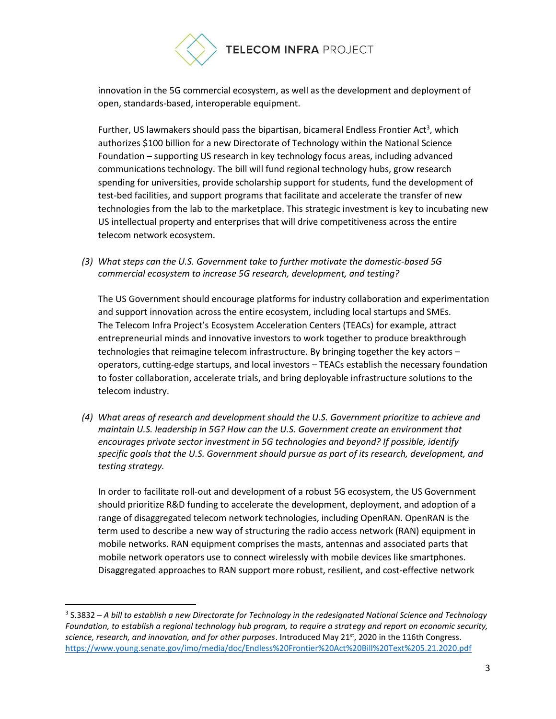

innovation in the 5G commercial ecosystem, as well as the development and deployment of open, standards-based, interoperable equipment.

Further, US lawmakers should pass the bipartisan, bicameral Endless Frontier Act<sup>3</sup>, which authorizes \$100 billion for a new Directorate of Technology within the National Science Foundation – supporting US research in key technology focus areas, including advanced communications technology. The bill will fund regional technology hubs, grow research spending for universities, provide scholarship support for students, fund the development of test-bed facilities, and support programs that facilitate and accelerate the transfer of new technologies from the lab to the marketplace. This strategic investment is key to incubating new US intellectual property and enterprises that will drive competitiveness across the entire telecom network ecosystem.

*(3) What steps can the U.S. Government take to further motivate the domestic-based 5G commercial ecosystem to increase 5G research, development, and testing?*

The US Government should encourage platforms for industry collaboration and experimentation and support innovation across the entire ecosystem, including local startups and SMEs. The Telecom Infra Project's Ecosystem Acceleration Centers (TEACs) for example, attract entrepreneurial minds and innovative investors to work together to produce breakthrough technologies that reimagine telecom infrastructure. By bringing together the key actors – operators, cutting-edge startups, and local investors – TEACs establish the necessary foundation to foster collaboration, accelerate trials, and bring deployable infrastructure solutions to the telecom industry.

*(4) What areas of research and development should the U.S. Government prioritize to achieve and maintain U.S. leadership in 5G? How can the U.S. Government create an environment that encourages private sector investment in 5G technologies and beyond? If possible, identify specific goals that the U.S. Government should pursue as part of its research, development, and testing strategy.*

In order to facilitate roll-out and development of a robust 5G ecosystem, the US Government should prioritize R&D funding to accelerate the development, deployment, and adoption of a range of disaggregated telecom network technologies, including OpenRAN. OpenRAN is the term used to describe a new way of structuring the radio access network (RAN) equipment in mobile networks. RAN equipment comprises the masts, antennas and associated parts that mobile network operators use to connect wirelessly with mobile devices like smartphones. Disaggregated approaches to RAN support more robust, resilient, and cost-effective network

<sup>3</sup> S.3832 – *A bill to establish a new Directorate for Technology in the redesignated National Science and Technology Foundation, to establish a regional technology hub program, to require a strategy and report on economic security, science, research, and innovation, and for other purposes*. Introduced May 21<sup>st</sup>, 2020 in the 116th Congress. <https://www.young.senate.gov/imo/media/doc/Endless%20Frontier%20Act%20Bill%20Text%205.21.2020.pdf>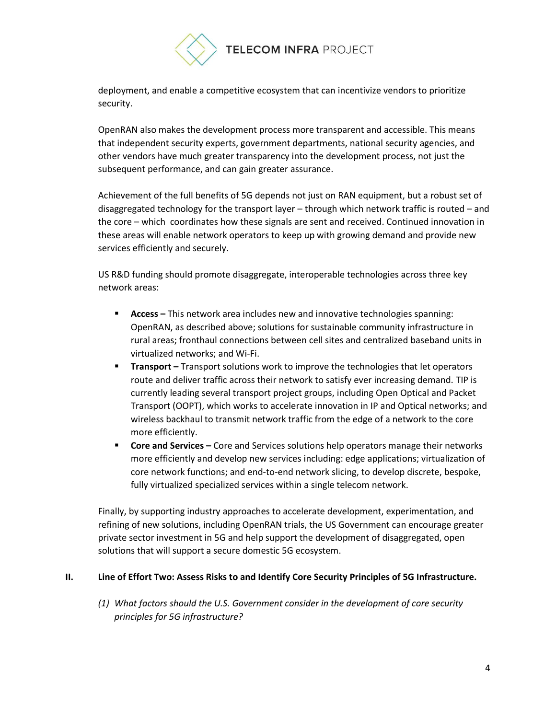

deployment, and enable a competitive ecosystem that can incentivize vendors to prioritize security.

OpenRAN also makes the development process more transparent and accessible. This means that independent security experts, government departments, national security agencies, and other vendors have much greater transparency into the development process, not just the subsequent performance, and can gain greater assurance.

Achievement of the full benefits of 5G depends not just on RAN equipment, but a robust set of disaggregated technology for the transport layer – through which network traffic is routed – and the core – which coordinates how these signals are sent and received. Continued innovation in these areas will enable network operators to keep up with growing demand and provide new services efficiently and securely.

US R&D funding should promote disaggregate, interoperable technologies across three key network areas:

- **Access –** This network area includes new and innovative technologies spanning: OpenRAN, as described above; solutions for sustainable community infrastructure in rural areas; fronthaul connections between cell sites and centralized baseband units in virtualized networks; and Wi-Fi.
- **Transport** Transport solutions work to improve the technologies that let operators route and deliver traffic across their network to satisfy ever increasing demand. TIP is currently leading several transport project groups, including Open Optical and Packet Transport (OOPT), which works to accelerate innovation in IP and Optical networks; and wireless backhaul to transmit network traffic from the edge of a network to the core more efficiently.
- **EXECT Core and Services** Core and Services solutions help operators manage their networks more efficiently and develop new services including: edge applications; virtualization of core network functions; and end-to-end network slicing, to develop discrete, bespoke, fully virtualized specialized services within a single telecom network.

Finally, by supporting industry approaches to accelerate development, experimentation, and refining of new solutions, including OpenRAN trials, the US Government can encourage greater private sector investment in 5G and help support the development of disaggregated, open solutions that will support a secure domestic 5G ecosystem.

### **II. Line of Effort Two: Assess Risks to and Identify Core Security Principles of 5G Infrastructure.**

*(1) What factors should the U.S. Government consider in the development of core security principles for 5G infrastructure?*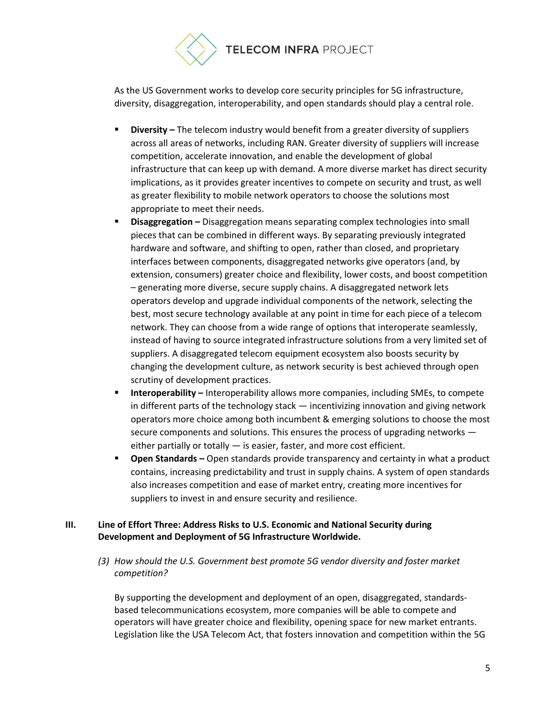

As the US Government works to develop core security principles for 5G infrastructure, diversity, disaggregation, interoperability, and open standards should play a central role.

- **Diversity –** The telecom industry would benefit from a greater diversity of suppliers across all areas of networks, including RAN. Greater diversity of suppliers will increase competition, accelerate innovation, and enable the development of global infrastructure that can keep up with demand. A more diverse market has direct security implications, as it provides greater incentives to compete on security and trust, as well as greater flexibility to mobile network operators to choose the solutions most appropriate to meet their needs.
- **E** Disaggregation Disaggregation means separating complex technologies into small pieces that can be combined in different ways. By separating previously integrated hardware and software, and shifting to open, rather than closed, and proprietary interfaces between components, disaggregated networks give operators (and, by extension, consumers) greater choice and flexibility, lower costs, and boost competition – generating more diverse, secure supply chains. A disaggregated network lets operators develop and upgrade individual components of the network, selecting the best, most secure technology available at any point in time for each piece of a telecom network. They can choose from a wide range of options that interoperate seamlessly, instead of having to source integrated infrastructure solutions from a very limited set of suppliers. A disaggregated telecom equipment ecosystem also boosts security by changing the development culture, as network security is best achieved through open scrutiny of development practices.
- **Interoperability** Interoperability allows more companies, including SMEs, to compete in different parts of the technology stack — incentivizing innovation and giving network operators more choice among both incumbent & emerging solutions to choose the most secure components and solutions. This ensures the process of upgrading networks either partially or totally — is easier, faster, and more cost efficient.
- **Open Standards –** Open standards provide transparency and certainty in what a product contains, increasing predictability and trust in supply chains. A system of open standards also increases competition and ease of market entry, creating more incentives for suppliers to invest in and ensure security and resilience.

## **III. Line of Effort Three: Address Risks to U.S. Economic and National Security during Development and Deployment of 5G Infrastructure Worldwide.**

*(3) How should the U.S. Government best promote 5G vendor diversity and foster market competition?*

By supporting the development and deployment of an open, disaggregated, standardsbased telecommunications ecosystem, more companies will be able to compete and operators will have greater choice and flexibility, opening space for new market entrants. Legislation like the USA Telecom Act, that fosters innovation and competition within the 5G